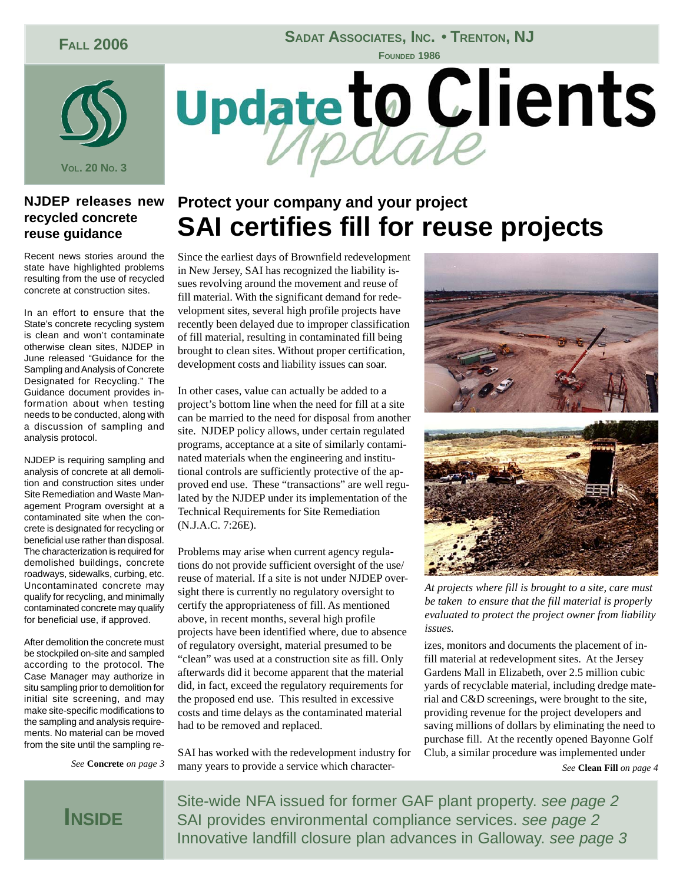### **FALL 2006**

#### **SADAT ASSOCIATES, INC. • TRENTON, NJ**

**FOUNDED 1986**



#### **NJDEP releases new recycled concrete reuse guidance**

Recent news stories around the state have highlighted problems resulting from the use of recycled concrete at construction sites.

In an effort to ensure that the State's concrete recycling system is clean and won't contaminate otherwise clean sites, NJDEP in June released "Guidance for the Sampling and Analysis of Concrete Designated for Recycling." The Guidance document provides information about when testing needs to be conducted, along with a discussion of sampling and analysis protocol.

NJDEP is requiring sampling and analysis of concrete at all demolition and construction sites under Site Remediation and Waste Management Program oversight at a contaminated site when the concrete is designated for recycling or beneficial use rather than disposal. The characterization is required for demolished buildings, concrete roadways, sidewalks, curbing, etc. Uncontaminated concrete may qualify for recycling, and minimally contaminated concrete may qualify for beneficial use, if approved.

After demolition the concrete must be stockpiled on-site and sampled according to the protocol. The Case Manager may authorize in situ sampling prior to demolition for initial site screening, and may make site-specific modifications to the sampling and analysis requirements. No material can be moved from the site until the sampling re-



### **Protect your company and your project SAI certifies fill for reuse projects**

Since the earliest days of Brownfield redevelopment in New Jersey, SAI has recognized the liability issues revolving around the movement and reuse of fill material. With the significant demand for redevelopment sites, several high profile projects have recently been delayed due to improper classification of fill material, resulting in contaminated fill being brought to clean sites. Without proper certification, development costs and liability issues can soar.

In other cases, value can actually be added to a project's bottom line when the need for fill at a site can be married to the need for disposal from another site. NJDEP policy allows, under certain regulated programs, acceptance at a site of similarly contaminated materials when the engineering and institutional controls are sufficiently protective of the approved end use. These "transactions" are well regulated by the NJDEP under its implementation of the Technical Requirements for Site Remediation (N.J.A.C. 7:26E).

Problems may arise when current agency regulations do not provide sufficient oversight of the use/ reuse of material. If a site is not under NJDEP oversight there is currently no regulatory oversight to certify the appropriateness of fill. As mentioned above, in recent months, several high profile projects have been identified where, due to absence of regulatory oversight, material presumed to be "clean" was used at a construction site as fill. Only afterwards did it become apparent that the material did, in fact, exceed the regulatory requirements for the proposed end use. This resulted in excessive costs and time delays as the contaminated material had to be removed and replaced.

SAI has worked with the redevelopment industry for many years to provide a service which character-*See* **Concrete** *on page 3 See* **Clean Fill** *on page 4*





*At projects where fill is brought to a site, care must be taken to ensure that the fill material is properly evaluated to protect the project owner from liability issues.*

izes, monitors and documents the placement of infill material at redevelopment sites. At the Jersey Gardens Mall in Elizabeth, over 2.5 million cubic yards of recyclable material, including dredge material and C&D screenings, were brought to the site, providing revenue for the project developers and saving millions of dollars by eliminating the need to purchase fill. At the recently opened Bayonne Golf Club, a similar procedure was implemented under

## **INSIDE**

Site-wide NFA issued for former GAF plant property. *see page 2* SAI provides environmental compliance services. *see page 2* Innovative landfill closure plan advances in Galloway. *see page 3*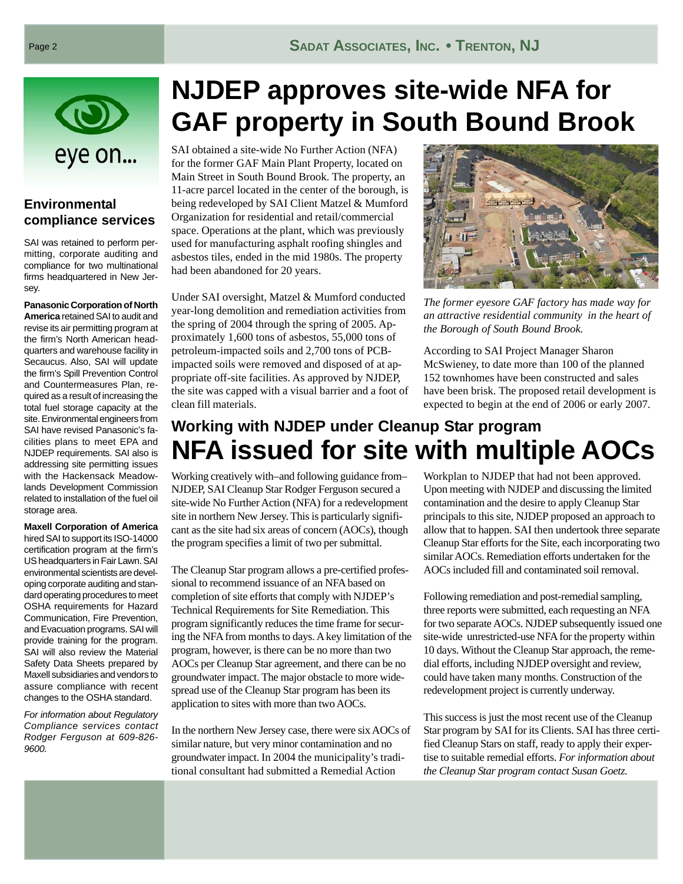

#### **Environmental compliance services**

SAI was retained to perform permitting, corporate auditing and compliance for two multinational firms headquartered in New Jersey.

**Panasonic Corporation of North America** retained SAI to audit and revise its air permitting program at the firm's North American headquarters and warehouse facility in Secaucus. Also, SAI will update the firm's Spill Prevention Control and Countermeasures Plan, required as a result of increasing the total fuel storage capacity at the site. Environmental engineers from SAI have revised Panasonic's facilities plans to meet EPA and NJDEP requirements. SAI also is addressing site permitting issues with the Hackensack Meadowlands Development Commission related to installation of the fuel oil storage area.

**Maxell Corporation of America** hired SAI to support its ISO-14000 certification program at the firm's US headquarters in Fair Lawn. SAI environmental scientists are developing corporate auditing and standard operating procedures to meet OSHA requirements for Hazard Communication, Fire Prevention, and Evacuation programs. SAI will provide training for the program. SAI will also review the Material Safety Data Sheets prepared by Maxell subsidiaries and vendors to assure compliance with recent changes to the OSHA standard.

*For information about Regulatory Compliance services contact Rodger Ferguson at 609-826- 9600.*

# **NJDEP approves site-wide NFA for GAF property in South Bound Brook**

SAI obtained a site-wide No Further Action (NFA) for the former GAF Main Plant Property, located on Main Street in South Bound Brook. The property, an 11-acre parcel located in the center of the borough, is being redeveloped by SAI Client Matzel & Mumford Organization for residential and retail/commercial space. Operations at the plant, which was previously used for manufacturing asphalt roofing shingles and asbestos tiles, ended in the mid 1980s. The property had been abandoned for 20 years.

Under SAI oversight, Matzel & Mumford conducted year-long demolition and remediation activities from the spring of 2004 through the spring of 2005. Approximately 1,600 tons of asbestos, 55,000 tons of petroleum-impacted soils and 2,700 tons of PCBimpacted soils were removed and disposed of at appropriate off-site facilities. As approved by NJDEP, the site was capped with a visual barrier and a foot of clean fill materials.



*The former eyesore GAF factory has made way for an attractive residential community in the heart of the Borough of South Bound Brook.*

According to SAI Project Manager Sharon McSwieney, to date more than 100 of the planned 152 townhomes have been constructed and sales have been brisk. The proposed retail development is expected to begin at the end of 2006 or early 2007.

### **Working with NJDEP under Cleanup Star program NFA issued for site with multiple AOCs**

Working creatively with–and following guidance from– NJDEP, SAI Cleanup Star Rodger Ferguson secured a site-wide No Further Action (NFA) for a redevelopment site in northern New Jersey. This is particularly significant as the site had six areas of concern (AOCs), though the program specifies a limit of two per submittal.

The Cleanup Star program allows a pre-certified professional to recommend issuance of an NFA based on completion of site efforts that comply with NJDEP's Technical Requirements for Site Remediation. This program significantly reduces the time frame for securing the NFA from months to days. A key limitation of the program, however, is there can be no more than two AOCs per Cleanup Star agreement, and there can be no groundwater impact. The major obstacle to more widespread use of the Cleanup Star program has been its application to sites with more than two AOCs.

In the northern New Jersey case, there were six AOCs of similar nature, but very minor contamination and no groundwater impact. In 2004 the municipality's traditional consultant had submitted a Remedial Action

Workplan to NJDEP that had not been approved. Upon meeting with NJDEP and discussing the limited contamination and the desire to apply Cleanup Star principals to this site, NJDEP proposed an approach to allow that to happen. SAI then undertook three separate Cleanup Star efforts for the Site, each incorporating two similar AOCs. Remediation efforts undertaken for the AOCs included fill and contaminated soil removal.

Following remediation and post-remedial sampling, three reports were submitted, each requesting an NFA for two separate AOCs. NJDEP subsequently issued one site-wide unrestricted-use NFA for the property within 10 days. Without the Cleanup Star approach, the remedial efforts, including NJDEP oversight and review, could have taken many months. Construction of the redevelopment project is currently underway.

This success is just the most recent use of the Cleanup Star program by SAI for its Clients. SAI has three certified Cleanup Stars on staff, ready to apply their expertise to suitable remedial efforts. *For information about the Cleanup Star program contact Susan Goetz.*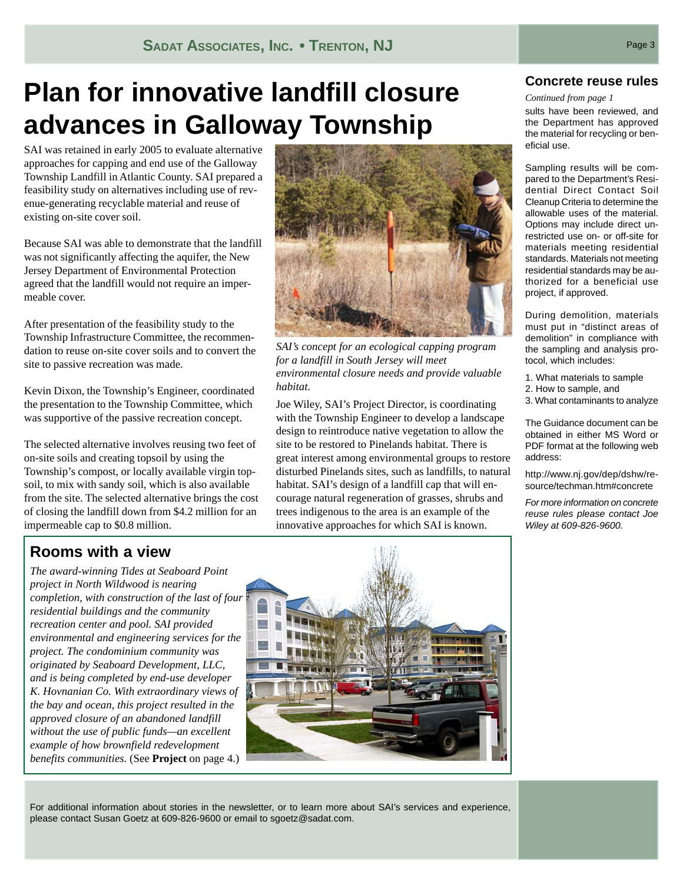# **Plan for innovative landfill closure advances in Galloway Township**

SAI was retained in early 2005 to evaluate alternative approaches for capping and end use of the Galloway Township Landfill in Atlantic County. SAI prepared a feasibility study on alternatives including use of revenue-generating recyclable material and reuse of existing on-site cover soil.

Because SAI was able to demonstrate that the landfill was not significantly affecting the aquifer, the New Jersey Department of Environmental Protection agreed that the landfill would not require an impermeable cover.

After presentation of the feasibility study to the Township Infrastructure Committee, the recommendation to reuse on-site cover soils and to convert the site to passive recreation was made.

Kevin Dixon, the Township's Engineer, coordinated the presentation to the Township Committee, which was supportive of the passive recreation concept.

The selected alternative involves reusing two feet of on-site soils and creating topsoil by using the Township's compost, or locally available virgin topsoil, to mix with sandy soil, which is also available from the site. The selected alternative brings the cost of closing the landfill down from \$4.2 million for an impermeable cap to \$0.8 million.



*SAI's concept for an ecological capping program for a landfill in South Jersey will meet environmental closure needs and provide valuable habitat.*

Joe Wiley, SAI's Project Director, is coordinating with the Township Engineer to develop a landscape design to reintroduce native vegetation to allow the site to be restored to Pinelands habitat. There is great interest among environmental groups to restore disturbed Pinelands sites, such as landfills, to natural habitat. SAI's design of a landfill cap that will encourage natural regeneration of grasses, shrubs and trees indigenous to the area is an example of the innovative approaches for which SAI is known.

#### **Concrete reuse rules**

#### *Continued from page 1*

sults have been reviewed, and the Department has approved the material for recycling or beneficial use.

Sampling results will be compared to the Department's Residential Direct Contact Soil Cleanup Criteria to determine the allowable uses of the material. Options may include direct unrestricted use on- or off-site for materials meeting residential standards. Materials not meeting residential standards may be authorized for a beneficial use project, if approved.

During demolition, materials must put in "distinct areas of demolition" in compliance with the sampling and analysis protocol, which includes:

- 1. What materials to sample
- 2. How to sample, and
- 3. What contaminants to analyze

The Guidance document can be obtained in either MS Word or PDF format at the following web address:

http://www.nj.gov/dep/dshw/resource/techman.htm#concrete

*For more information on concrete reuse rules please contact Joe Wiley at 609-826-9600.*

### **Rooms with a view**

*The award-winning Tides at Seaboard Point project in North Wildwood is nearing completion, with construction of the last of four residential buildings and the community recreation center and pool. SAI provided environmental and engineering services for the project. The condominium community was originated by Seaboard Development, LLC, and is being completed by end-use developer K. Hovnanian Co. With extraordinary views of the bay and ocean, this project resulted in the approved closure of an abandoned landfill without the use of public funds—an excellent example of how brownfield redevelopment benefits communities.* (See **Project** on page 4.)



For additional information about stories in the newsletter, or to learn more about SAI's services and experience, please contact Susan Goetz at 609-826-9600 or email to sgoetz@sadat.com.